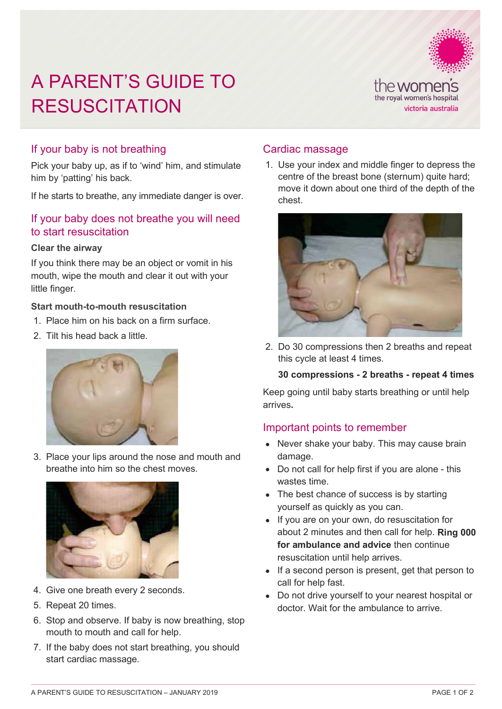# A PARENT'S GUIDE TO **RESUSCITATION**



# If your baby is not breathing

Pick your baby up, as if to 'wind' him, and stimulate him by 'patting' his back.

If he starts to breathe, any immediate danger is over.

# If your baby does not breathe you will need to start resuscitation

#### **Clear the airway**

If you think there may be an object or vomit in his mouth, wipe the mouth and clear it out with your little finger.

#### **Start mouth-to-mouth resuscitation**

- 1. Place him on his back on a firm surface.
- 2. Tilt his head back a little.



3. Place your lips around the nose and mouth and breathe into him so the chest moves.



- 4. Give one breath every 2 seconds.
- 5. Repeat 20 times.
- 6. Stop and observe. If baby is now breathing, stop mouth to mouth and call for help.
- 7. If the baby does not start breathing, you should start cardiac massage.

## Cardiac massage

1. Use your index and middle finger to depress the centre of the breast bone (sternum) quite hard; move it down about one third of the depth of the chest.



2. Do 30 compressions then 2 breaths and repeat this cycle at least 4 times.

#### **30 compressions - 2 breaths - repeat 4 times**

Keep going until baby starts breathing or until help arrives**.** 

## Important points to remember

- Never shake your baby. This may cause brain damage.
- Do not call for help first if you are alone this wastes time.
- The best chance of success is by starting yourself as quickly as you can.
- If you are on your own, do resuscitation for about 2 minutes and then call for help. **Ring 000 for ambulance and advice** then continue resuscitation until help arrives.
- If a second person is present, get that person to call for help fast.
- Do not drive yourself to your nearest hospital or doctor. Wait for the ambulance to arrive.